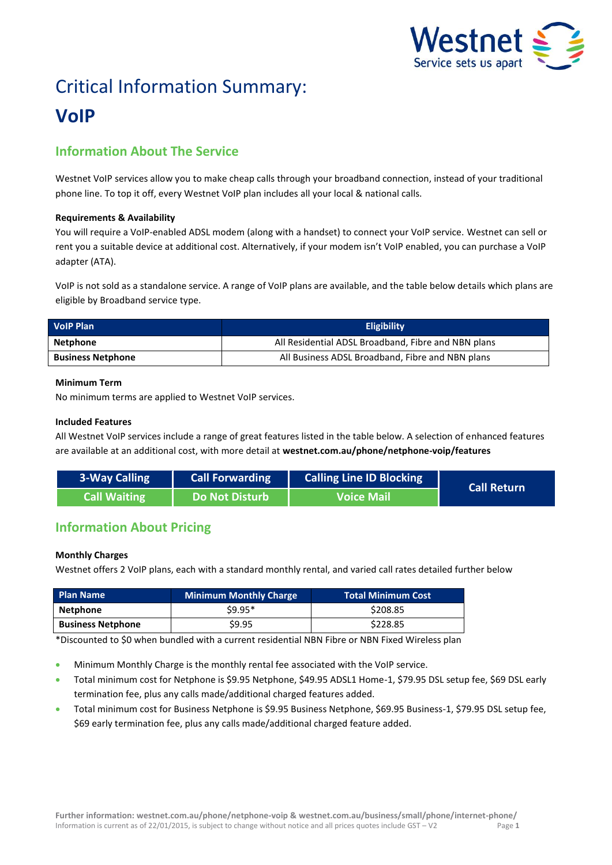

# Critical Information Summary: **VoIP**

# **Information About The Service**

Westnet VoIP services allow you to make cheap calls through your broadband connection, instead of your traditional phone line. To top it off, every Westnet VoIP plan includes all your local & national calls.

# **Requirements & Availability**

You will require a VoIP-enabled ADSL modem (along with a handset) to connect your VoIP service. Westnet can sell or rent you a suitable device at additional cost. Alternatively, if your modem isn't VoIP enabled, you can purchase a VoIP adapter (ATA).

VoIP is not sold as a standalone service. A range of VoIP plans are available, and the table below details which plans are eligible by Broadband service type.

| <b>VolP Plan</b>         | <b>Eligibility</b>                                  |  |  |
|--------------------------|-----------------------------------------------------|--|--|
| Netphone                 | All Residential ADSL Broadband, Fibre and NBN plans |  |  |
| <b>Business Netphone</b> | All Business ADSL Broadband, Fibre and NBN plans    |  |  |

# **Minimum Term**

No minimum terms are applied to Westnet VoIP services.

# **Included Features**

All Westnet VoIP services include a range of great features listed in the table below. A selection of enhanced features are available at an additional cost, with more detail at **[westnet.com.au/phone/netphone-voip/features](file://win2k.iinet.net.au/dfs/group/Customer%20Experience/WebDev/CORP%20TEAMS/Products/CIS%20Sheets/Word%20Templates/iiNet/www.westnet.com.au/phone/netphone-voip/features)**

| 3-Way Calling       | <b>Call Forwarding</b> | <b>Calling Line ID Blocking</b> | <b>Call Return</b> |
|---------------------|------------------------|---------------------------------|--------------------|
| <b>Call Waiting</b> | Do Not Disturb         | <b>Voice Mail</b>               |                    |

# **Information About Pricing**

# **Monthly Charges**

Westnet offers 2 VoIP plans, each with a standard monthly rental, and varied call rates detailed further below

| <b>Plan Name</b>         | <b>Minimum Monthly Charge</b> | <b>Total Minimum Cost</b> |
|--------------------------|-------------------------------|---------------------------|
| Netphone                 | $$9.95*$                      | \$208.85                  |
| <b>Business Netphone</b> | \$9.95                        | \$228.85                  |

\*Discounted to \$0 when bundled with a current residential NBN Fibre or NBN Fixed Wireless plan

- Minimum Monthly Charge is the monthly rental fee associated with the VoIP service.
- Total minimum cost for Netphone is \$9.95 Netphone, \$49.95 ADSL1 Home-1, \$79.95 DSL setup fee, \$69 DSL early termination fee, plus any calls made/additional charged features added.
- Total minimum cost for Business Netphone is \$9.95 Business Netphone, \$69.95 Business-1, \$79.95 DSL setup fee, \$69 early termination fee, plus any calls made/additional charged feature added.